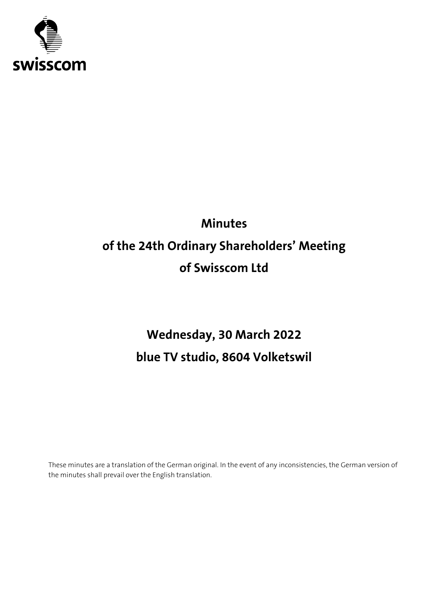

# **Minutes of the 24th Ordinary Shareholders' Meeting of Swisscom Ltd**

# **Wednesday, 30 March 2022 blue TV studio, 8604 Volketswil**

These minutes are a translation of the German original. In the event of any inconsistencies, the German version of the minutes shall prevail over the English translation.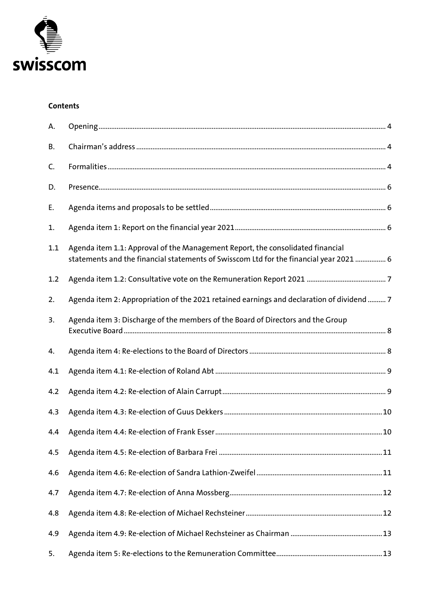

#### **Contents**

| А.  |                                                                                                                                                                          |  |
|-----|--------------------------------------------------------------------------------------------------------------------------------------------------------------------------|--|
| В.  |                                                                                                                                                                          |  |
| C.  |                                                                                                                                                                          |  |
| D.  |                                                                                                                                                                          |  |
| Ε.  |                                                                                                                                                                          |  |
| 1.  |                                                                                                                                                                          |  |
| 1.1 | Agenda item 1.1: Approval of the Management Report, the consolidated financial<br>statements and the financial statements of Swisscom Ltd for the financial year 2021  6 |  |
| 1.2 |                                                                                                                                                                          |  |
| 2.  | Agenda item 2: Appropriation of the 2021 retained earnings and declaration of dividend  7                                                                                |  |
| 3.  | Agenda item 3: Discharge of the members of the Board of Directors and the Group                                                                                          |  |
| 4.  |                                                                                                                                                                          |  |
| 4.1 |                                                                                                                                                                          |  |
| 4.2 |                                                                                                                                                                          |  |
| 4.3 |                                                                                                                                                                          |  |
| 4.4 |                                                                                                                                                                          |  |
| 4.5 |                                                                                                                                                                          |  |
| 4.6 |                                                                                                                                                                          |  |
| 4.7 |                                                                                                                                                                          |  |
| 4.8 |                                                                                                                                                                          |  |
| 4.9 |                                                                                                                                                                          |  |
| 5.  |                                                                                                                                                                          |  |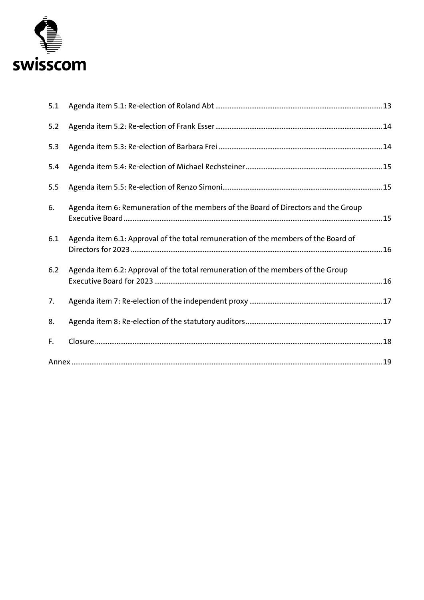

| 5.1 |                                                                                    |  |
|-----|------------------------------------------------------------------------------------|--|
| 5.2 |                                                                                    |  |
| 5.3 |                                                                                    |  |
| 5.4 |                                                                                    |  |
| 5.5 |                                                                                    |  |
| 6.  | Agenda item 6: Remuneration of the members of the Board of Directors and the Group |  |
| 6.1 | Agenda item 6.1: Approval of the total remuneration of the members of the Board of |  |
| 6.2 | Agenda item 6.2: Approval of the total remuneration of the members of the Group    |  |
| 7.  |                                                                                    |  |
| 8.  |                                                                                    |  |
| F.  |                                                                                    |  |
|     |                                                                                    |  |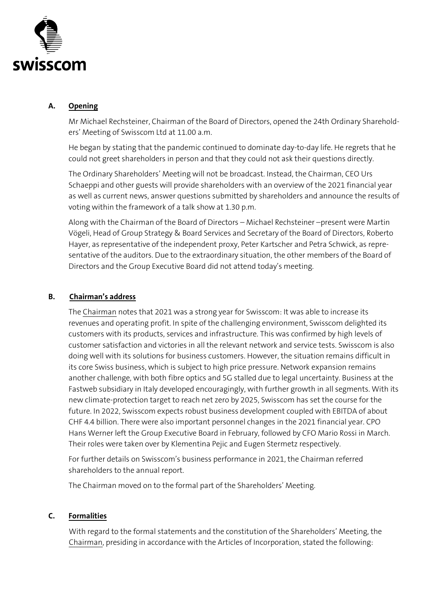

#### <span id="page-3-0"></span>**A. Opening**

Mr Michael Rechsteiner, Chairman of the Board of Directors, opened the 24th Ordinary Shareholders' Meeting of Swisscom Ltd at 11.00 a.m.

He began by stating that the pandemic continued to dominate day-to-day life. He regrets that he could not greet shareholders in person and that they could not ask their questions directly.

The Ordinary Shareholders' Meeting will not be broadcast. Instead, the Chairman, CEO Urs Schaeppi and other guests will provide shareholders with an overview of the 2021 financial year as well as current news, answer questions submitted by shareholders and announce the results of voting within the framework of a talk show at 1.30 p.m.

Along with the Chairman of the Board of Directors – Michael Rechsteiner –present were Martin Vögeli, Head of Group Strategy & Board Services and Secretary of the Board of Directors, Roberto Hayer, as representative of the independent proxy, Peter Kartscher and Petra Schwick, as representative of the auditors. Due to the extraordinary situation, the other members of the Board of Directors and the Group Executive Board did not attend today's meeting.

#### <span id="page-3-1"></span>**B. Chairman's address**

The Chairman notes that 2021 was a strong year for Swisscom: It was able to increase its revenues and operating profit. In spite of the challenging environment, Swisscom delighted its customers with its products, services and infrastructure. This was confirmed by high levels of customer satisfaction and victories in all the relevant network and service tests. Swisscom is also doing well with its solutions for business customers. However, the situation remains difficult in its core Swiss business, which is subject to high price pressure. Network expansion remains another challenge, with both fibre optics and 5G stalled due to legal uncertainty. Business at the Fastweb subsidiary in Italy developed encouragingly, with further growth in all segments. With its new climate-protection target to reach net zero by 2025, Swisscom has set the course for the future. In 2022, Swisscom expects robust business development coupled with EBITDA of about CHF 4.4 billion. There were also important personnel changes in the 2021 financial year. CPO Hans Werner left the Group Executive Board in February, followed by CFO Mario Rossi in March. Their roles were taken over by Klementina Pejic and Eugen Stermetz respectively.

For further details on Swisscom's business performance in 2021, the Chairman referred shareholders to the annual report.

The Chairman moved on to the formal part of the Shareholders' Meeting.

#### <span id="page-3-2"></span>**C. Formalities**

With regard to the formal statements and the constitution of the Shareholders' Meeting, the Chairman, presiding in accordance with the Articles of Incorporation, stated the following: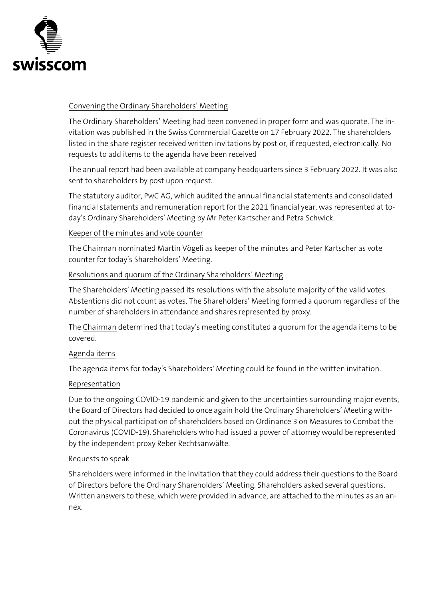

#### Convening the Ordinary Shareholders' Meeting

The Ordinary Shareholders' Meeting had been convened in proper form and was quorate. The invitation was published in the Swiss Commercial Gazette on 17 February 2022. The shareholders listed in the share register received written invitations by post or, if requested, electronically. No requests to add items to the agenda have been received

The annual report had been available at company headquarters since 3 February 2022. It was also sent to shareholders by post upon request.

The statutory auditor, PwC AG, which audited the annual financial statements and consolidated financial statements and remuneration report for the 2021 financial year, was represented at today's Ordinary Shareholders' Meeting by Mr Peter Kartscher and Petra Schwick.

#### Keeper of the minutes and vote counter

The Chairman nominated Martin Vögeli as keeper of the minutes and Peter Kartscher as vote counter for today's Shareholders' Meeting.

#### Resolutions and quorum of the Ordinary Shareholders' Meeting

The Shareholders' Meeting passed its resolutions with the absolute majority of the valid votes. Abstentions did not count as votes. The Shareholders' Meeting formed a quorum regardless of the number of shareholders in attendance and shares represented by proxy.

The Chairman determined that today's meeting constituted a quorum for the agenda items to be covered.

# Agenda items

The agenda items for today's Shareholders' Meeting could be found in the written invitation.

#### Representation

Due to the ongoing COVID-19 pandemic and given to the uncertainties surrounding major events, the Board of Directors had decided to once again hold the Ordinary Shareholders' Meeting without the physical participation of shareholders based on Ordinance 3 on Measures to Combat the Coronavirus (COVID-19). Shareholders who had issued a power of attorney would be represented by the independent proxy Reber Rechtsanwälte.

#### Requests to speak

Shareholders were informed in the invitation that they could address their questions to the Board of Directors before the Ordinary Shareholders' Meeting. Shareholders asked several questions. Written answers to these, which were provided in advance, are attached to the minutes as an annex.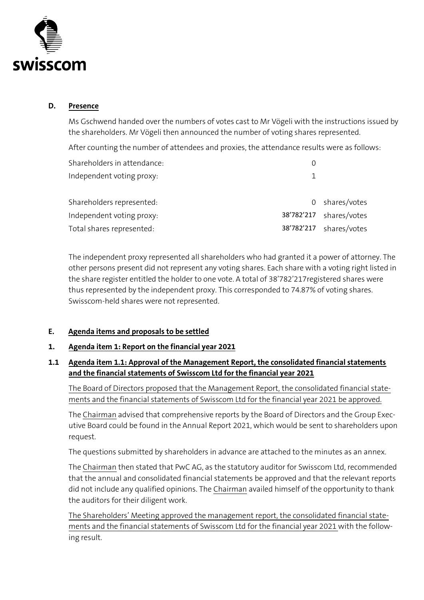

#### <span id="page-5-0"></span>**D. Presence**

Ms Gschwend handed over the numbers of votes cast to Mr Vögeli with the instructions issued by the shareholders. Mr Vögeli then announced the number of voting shares represented.

After counting the number of attendees and proxies, the attendance results were as follows:

| Shareholders in attendance: |            |              |
|-----------------------------|------------|--------------|
| Independent voting proxy:   |            |              |
| Shareholders represented:   | 0          | shares/votes |
| Independent voting proxy:   | 38'782'217 | shares/votes |
| Total shares represented:   | 38'782'217 | shares/votes |

The independent proxy represented all shareholders who had granted it a power of attorney. The other persons present did not represent any voting shares. Each share with a voting right listed in the share register entitled the holder to one vote. A total of 38'782'217registered shares were thus represented by the independent proxy. This corresponded to 74.87% of voting shares. Swisscom-held shares were not represented.

# <span id="page-5-1"></span>**E. Agenda items and proposals to be settled**

#### <span id="page-5-2"></span>**1. Agenda item 1: Report on the financial year 2021**

# <span id="page-5-3"></span>**1.1 Agenda item 1.1: Approval of the Management Report, the consolidated financial statements and the financial statements of Swisscom Ltd for the financial year 2021**

The Board of Directors proposed that the Management Report, the consolidated financial statements and the financial statements of Swisscom Ltd for the financial year 2021 be approved.

The Chairman advised that comprehensive reports by the Board of Directors and the Group Executive Board could be found in the Annual Report 2021, which would be sent to shareholders upon request.

The questions submitted by shareholders in advance are attached to the minutes as an annex.

The Chairman then stated that PwC AG, as the statutory auditor for Swisscom Ltd, recommended that the annual and consolidated financial statements be approved and that the relevant reports did not include any qualified opinions. The Chairman availed himself of the opportunity to thank the auditors for their diligent work.

The Shareholders' Meeting approved the management report, the consolidated financial statements and the financial statements of Swisscom Ltd for the financial year 2021 with the following result.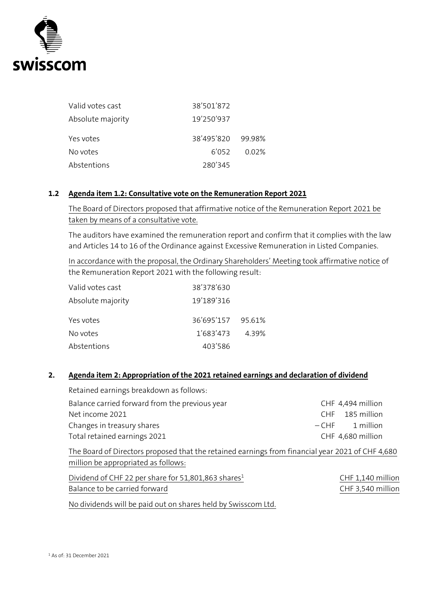

| Valid votes cast  | 38'501'872        |       |
|-------------------|-------------------|-------|
| Absolute majority | 19'250'937        |       |
| Yes votes         | 38'495'820 99.98% |       |
| No votes          | 6'052             | 0.02% |
| Abstentions       | 280'345           |       |

#### <span id="page-6-0"></span>**1.2 Agenda item 1.2: Consultative vote on the Remuneration Report 2021**

The Board of Directors proposed that affirmative notice of the Remuneration Report 2021 be taken by means of a consultative vote.

The auditors have examined the remuneration report and confirm that it complies with the law and Articles 14 to 16 of the Ordinance against Excessive Remuneration in Listed Companies.

In accordance with the proposal, the Ordinary Shareholders' Meeting took affirmative notice of the Remuneration Report 2021 with the following result:

| Valid votes cast  | 38'378'630        |       |
|-------------------|-------------------|-------|
| Absolute majority | 19'189'316        |       |
| Yes votes         | 36'695'157 95.61% |       |
| No votes          | 1'683'473         | 4.39% |
| Abstentions       | 403'586           |       |

#### <span id="page-6-1"></span>**2. Agenda item 2: Appropriation of the 2021 retained earnings and declaration of dividend**

| Retained earnings breakdown as follows:                                                                                                 |                                |
|-----------------------------------------------------------------------------------------------------------------------------------------|--------------------------------|
| Balance carried forward from the previous year                                                                                          | CHF 4,494 million              |
| Net income 2021                                                                                                                         | 185 million<br>C <sub>HF</sub> |
| Changes in treasury shares                                                                                                              | 1 million<br>$-CHF$            |
| Total retained earnings 2021                                                                                                            | CHF 4,680 million              |
| The Board of Directors proposed that the retained earnings from financial year 2021 of CHF 4,680<br>million be appropriated as follows: |                                |
| Dividend of CHF 22 per share for 51,801,863 shares <sup>1</sup>                                                                         | CHF 1,140 million              |
| Balance to be carried forward                                                                                                           | CHF 3,540 million              |
| No dividends will be paid out on shares held by Swisscom Ltd.                                                                           |                                |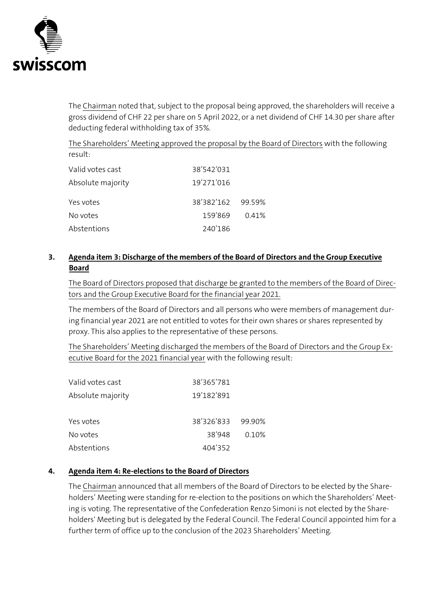

The Chairman noted that, subject to the proposal being approved, the shareholders will receive a gross dividend of CHF 22 per share on 5 April 2022, or a net dividend of CHF 14.30 per share after deducting federal withholding tax of 35%.

The Shareholders' Meeting approved the proposal by the Board of Directors with the following result:

| Valid votes cast  | 38'542'031        |       |
|-------------------|-------------------|-------|
| Absolute majority | 19'271'016        |       |
| Yes votes         | 38'382'162 99.59% |       |
| No votes          | 159'869           | 0.41% |
| Abstentions       | 240'186           |       |

# <span id="page-7-0"></span>**3. Agenda item 3: Discharge of the members of the Board of Directors and the Group Executive Board**

The Board of Directors proposed that discharge be granted to the members of the Board of Directors and the Group Executive Board for the financial year 2021.

The members of the Board of Directors and all persons who were members of management during financial year 2021 are not entitled to votes for their own shares or shares represented by proxy. This also applies to the representative of these persons.

The Shareholders' Meeting discharged the members of the Board of Directors and the Group Executive Board for the 2021 financial year with the following result:

| Valid votes cast  | 38'365'781        |       |
|-------------------|-------------------|-------|
| Absolute majority | 19'182'891        |       |
|                   |                   |       |
| Yes votes         | 38'326'833 99.90% |       |
| No votes          | 38'948            | 0.10% |
| Abstentions       | 404'352           |       |

# <span id="page-7-1"></span>**4. Agenda item 4: Re-elections to the Board of Directors**

The Chairman announced that all members of the Board of Directors to be elected by the Shareholders' Meeting were standing for re-election to the positions on which the Shareholders' Meeting is voting. The representative of the Confederation Renzo Simoni is not elected by the Shareholders' Meeting but is delegated by the Federal Council. The Federal Council appointed him for a further term of office up to the conclusion of the 2023 Shareholders' Meeting.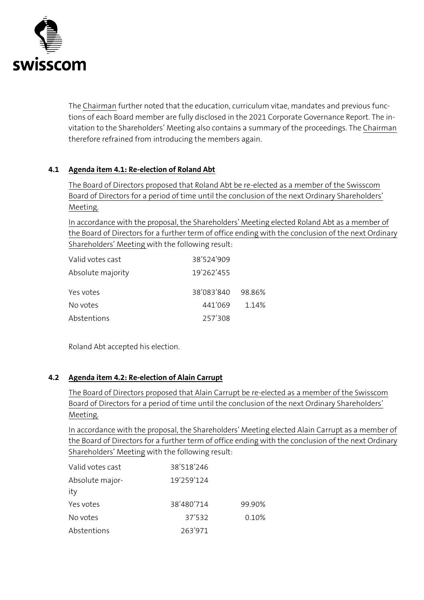

The Chairman further noted that the education, curriculum vitae, mandates and previous functions of each Board member are fully disclosed in the 2021 Corporate Governance Report. The invitation to the Shareholders' Meeting also contains a summary of the proceedings. The Chairman therefore refrained from introducing the members again.

# <span id="page-8-0"></span>**4.1 Agenda item 4.1: Re-election of Roland Abt**

The Board of Directors proposed that Roland Abt be re-elected as a member of the Swisscom Board of Directors for a period of time until the conclusion of the next Ordinary Shareholders' Meeting.

In accordance with the proposal, the Shareholders' Meeting elected Roland Abt as a member of the Board of Directors for a further term of office ending with the conclusion of the next Ordinary Shareholders' Meeting with the following result:

| Valid votes cast  | 38'524'909 |         |
|-------------------|------------|---------|
| Absolute majority | 19'262'455 |         |
| Yes votes         | 38'083'840 | -98.86% |
| No votes          | 441'069    | 1.14%   |
| Abstentions       | 257'308    |         |

Roland Abt accepted his election.

# <span id="page-8-1"></span>**4.2 Agenda item 4.2: Re-election of Alain Carrupt**

The Board of Directors proposed that Alain Carrupt be re-elected as a member of the Swisscom Board of Directors for a period of time until the conclusion of the next Ordinary Shareholders' Meeting.

In accordance with the proposal, the Shareholders' Meeting elected Alain Carrupt as a member of the Board of Directors for a further term of office ending with the conclusion of the next Ordinary Shareholders' Meeting with the following result:

| Valid votes cast | 38'518'246 |        |
|------------------|------------|--------|
| Absolute major-  | 19'259'124 |        |
| ity              |            |        |
| Yes votes        | 38'480'714 | 99.90% |
| No votes         | 37'532     | 0.10%  |
| Abstentions      | 263'971    |        |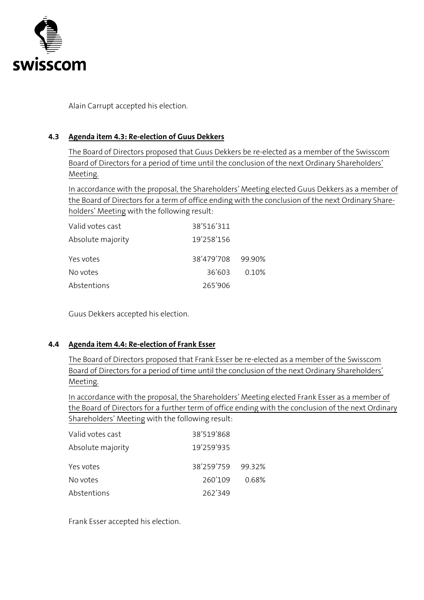

Alain Carrupt accepted his election.

#### <span id="page-9-0"></span>**4.3 Agenda item 4.3: Re-election of Guus Dekkers**

The Board of Directors proposed that Guus Dekkers be re-elected as a member of the Swisscom Board of Directors for a period of time until the conclusion of the next Ordinary Shareholders' Meeting.

In accordance with the proposal, the Shareholders' Meeting elected Guus Dekkers as a member of the Board of Directors for a term of office ending with the conclusion of the next Ordinary Shareholders' Meeting with the following result:

| Valid votes cast  | 38'516'311        |       |
|-------------------|-------------------|-------|
| Absolute majority | 19'258'156        |       |
| Yes votes         | 38'479'708 99.90% |       |
| No votes          | 36'603            | 0.10% |
| Abstentions       | 265'906           |       |

Guus Dekkers accepted his election.

#### <span id="page-9-1"></span>**4.4 Agenda item 4.4: Re-election of Frank Esser**

The Board of Directors proposed that Frank Esser be re-elected as a member of the Swisscom Board of Directors for a period of time until the conclusion of the next Ordinary Shareholders' Meeting.

In accordance with the proposal, the Shareholders' Meeting elected Frank Esser as a member of the Board of Directors for a further term of office ending with the conclusion of the next Ordinary Shareholders' Meeting with the following result:

| Valid votes cast  | 38'519'868        |       |
|-------------------|-------------------|-------|
| Absolute majority | 19'259'935        |       |
| Yes votes         | 38'259'759 99.32% |       |
| No votes          | 260'109           | 0.68% |
| Abstentions       | 262'349           |       |

Frank Esser accepted his election.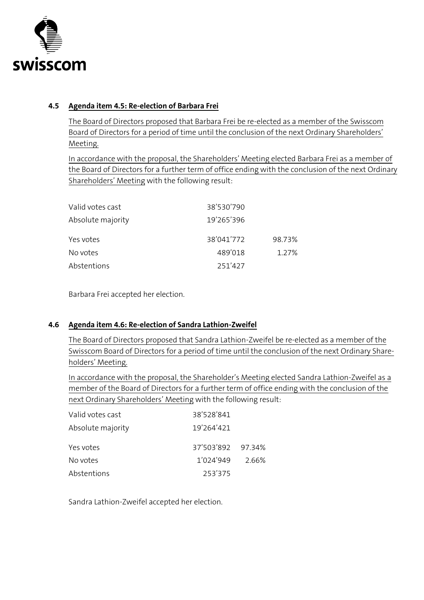

#### <span id="page-10-0"></span>**4.5 Agenda item 4.5: Re-election of Barbara Frei**

The Board of Directors proposed that Barbara Frei be re-elected as a member of the Swisscom Board of Directors for a period of time until the conclusion of the next Ordinary Shareholders' Meeting.

In accordance with the proposal, the Shareholders' Meeting elected Barbara Frei as a member of the Board of Directors for a further term of office ending with the conclusion of the next Ordinary Shareholders' Meeting with the following result:

| Valid votes cast  | 38'530'790 |        |
|-------------------|------------|--------|
| Absolute majority | 19'265'396 |        |
| Yes votes         | 38'041'772 | 98.73% |
| No votes          | 489'018    | 1.27%  |
| Abstentions       | 251'427    |        |

Barbara Frei accepted her election.

# <span id="page-10-1"></span>**4.6 Agenda item 4.6: Re-election of Sandra Lathion-Zweifel**

The Board of Directors proposed that Sandra Lathion-Zweifel be re-elected as a member of the Swisscom Board of Directors for a period of time until the conclusion of the next Ordinary Shareholders' Meeting.

In accordance with the proposal, the Shareholder's Meeting elected Sandra Lathion-Zweifel as a member of the Board of Directors for a further term of office ending with the conclusion of the next Ordinary Shareholders' Meeting with the following result:

| Valid votes cast  | 38'528'841        |       |
|-------------------|-------------------|-------|
| Absolute majority | 19'264'421        |       |
| Yes votes         | 37'503'892 97.34% |       |
| No votes          | 1'024'949         | 2.66% |
| Abstentions       | 253'375           |       |

Sandra Lathion-Zweifel accepted her election.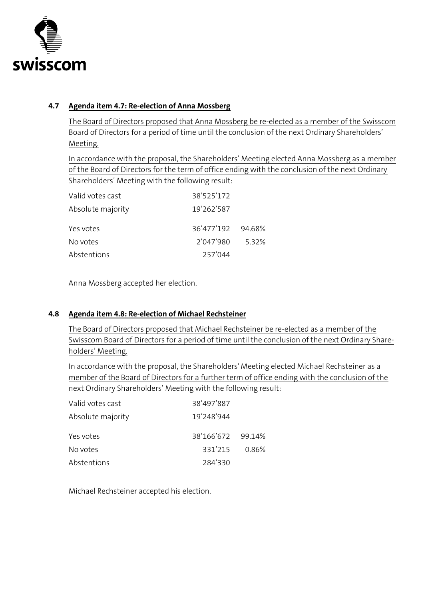

# <span id="page-11-0"></span>**4.7 Agenda item 4.7: Re-election of Anna Mossberg**

The Board of Directors proposed that Anna Mossberg be re-elected as a member of the Swisscom Board of Directors for a period of time until the conclusion of the next Ordinary Shareholders' Meeting.

In accordance with the proposal, the Shareholders' Meeting elected Anna Mossberg as a member of the Board of Directors for the term of office ending with the conclusion of the next Ordinary Shareholders' Meeting with the following result:

| Valid votes cast  | 38'525'172        |       |
|-------------------|-------------------|-------|
| Absolute majority | 19'262'587        |       |
| Yes votes         | 36'477'192 94.68% |       |
| No votes          | 2'047'980         | 5.32% |
| Abstentions       | 257'044           |       |

Anna Mossberg accepted her election.

#### <span id="page-11-1"></span>**4.8 Agenda item 4.8: Re-election of Michael Rechsteiner**

The Board of Directors proposed that Michael Rechsteiner be re-elected as a member of the Swisscom Board of Directors for a period of time until the conclusion of the next Ordinary Shareholders' Meeting.

In accordance with the proposal, the Shareholders' Meeting elected Michael Rechsteiner as a member of the Board of Directors for a further term of office ending with the conclusion of the next Ordinary Shareholders' Meeting with the following result:

| Valid votes cast  | 38'497'887        |       |
|-------------------|-------------------|-------|
| Absolute majority | 19'248'944        |       |
| Yes votes         | 38'166'672 99.14% |       |
| No votes          | 331'215           | 0.86% |
| Abstentions       | 284'330           |       |

Michael Rechsteiner accepted his election.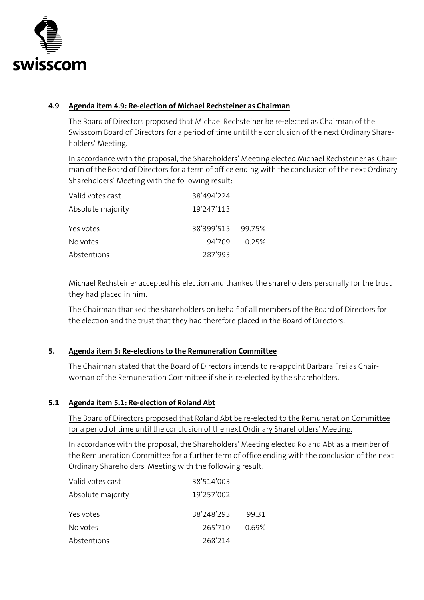

# <span id="page-12-0"></span>**4.9 Agenda item 4.9: Re-election of Michael Rechsteiner as Chairman**

The Board of Directors proposed that Michael Rechsteiner be re-elected as Chairman of the Swisscom Board of Directors for a period of time until the conclusion of the next Ordinary Shareholders' Meeting.

In accordance with the proposal, the Shareholders' Meeting elected Michael Rechsteiner as Chairman of the Board of Directors for a term of office ending with the conclusion of the next Ordinary Shareholders' Meeting with the following result:

| Valid votes cast  | 38'494'224        |       |
|-------------------|-------------------|-------|
| Absolute majority | 19'247'113        |       |
| Yes votes         | 38'399'515 99.75% |       |
| No votes          | 94'709            | 0.25% |
| Abstentions       | 287'993           |       |

Michael Rechsteiner accepted his election and thanked the shareholders personally for the trust they had placed in him.

The Chairman thanked the shareholders on behalf of all members of the Board of Directors for the election and the trust that they had therefore placed in the Board of Directors.

# <span id="page-12-1"></span>**5. Agenda item 5: Re-elections to the Remuneration Committee**

The Chairman stated that the Board of Directors intends to re-appoint Barbara Frei as Chairwoman of the Remuneration Committee if she is re-elected by the shareholders.

# <span id="page-12-2"></span>**5.1 Agenda item 5.1: Re-election of Roland Abt**

The Board of Directors proposed that Roland Abt be re-elected to the Remuneration Committee for a period of time until the conclusion of the next Ordinary Shareholders' Meeting.

In accordance with the proposal, the Shareholders' Meeting elected Roland Abt as a member of the Remuneration Committee for a further term of office ending with the conclusion of the next Ordinary Shareholders' Meeting with the following result:

| Valid votes cast  | 38'514'003 |       |
|-------------------|------------|-------|
| Absolute majority | 19'257'002 |       |
| Yes votes         | 38'248'293 | 99.31 |
| No votes          | 265'710    | 0.69% |
| Abstentions       | 268'214    |       |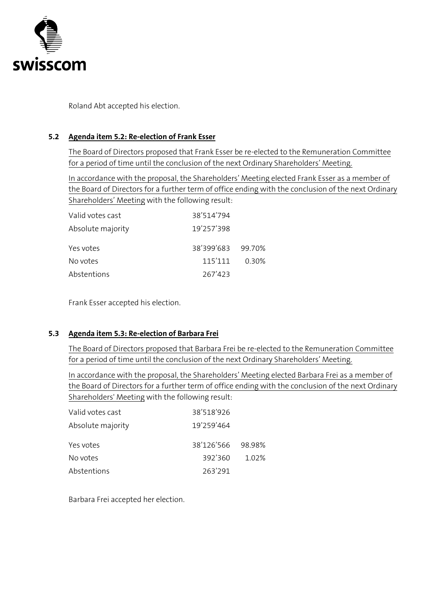

Roland Abt accepted his election.

#### <span id="page-13-0"></span>**5.2 Agenda item 5.2: Re-election of Frank Esser**

The Board of Directors proposed that Frank Esser be re-elected to the Remuneration Committee for a period of time until the conclusion of the next Ordinary Shareholders' Meeting.

In accordance with the proposal, the Shareholders' Meeting elected Frank Esser as a member of the Board of Directors for a further term of office ending with the conclusion of the next Ordinary Shareholders' Meeting with the following result:

| Valid votes cast  | 38'514'794        |       |
|-------------------|-------------------|-------|
| Absolute majority | 19'257'398        |       |
| Yes votes         | 38'399'683 99.70% |       |
| No votes          | 115'111           | 0.30% |
| Abstentions       | 267'423           |       |

Frank Esser accepted his election.

# <span id="page-13-1"></span>**5.3 Agenda item 5.3: Re-election of Barbara Frei**

The Board of Directors proposed that Barbara Frei be re-elected to the Remuneration Committee for a period of time until the conclusion of the next Ordinary Shareholders' Meeting.

In accordance with the proposal, the Shareholders' Meeting elected Barbara Frei as a member of the Board of Directors for a further term of office ending with the conclusion of the next Ordinary Shareholders' Meeting with the following result:

| Valid votes cast  | 38'518'926        |       |
|-------------------|-------------------|-------|
| Absolute majority | 19'259'464        |       |
| Yes votes         | 38'126'566 98.98% |       |
| No votes          | 392'360           | 1.02% |
| Abstentions       | 263'291           |       |

Barbara Frei accepted her election.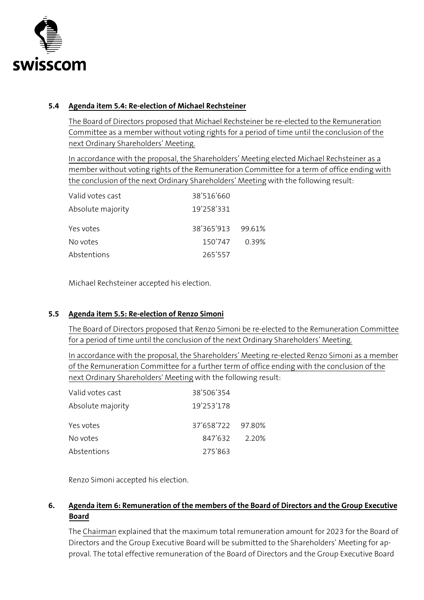

#### <span id="page-14-0"></span>**5.4 Agenda item 5.4: Re-election of Michael Rechsteiner**

The Board of Directors proposed that Michael Rechsteiner be re-elected to the Remuneration Committee as a member without voting rights for a period of time until the conclusion of the next Ordinary Shareholders' Meeting.

In accordance with the proposal, the Shareholders' Meeting elected Michael Rechsteiner as a member without voting rights of the Remuneration Committee for a term of office ending with the conclusion of the next Ordinary Shareholders' Meeting with the following result:

| Valid votes cast  | 38'516'660        |       |
|-------------------|-------------------|-------|
| Absolute majority | 19'258'331        |       |
| Yes votes         | 38'365'913 99.61% |       |
| No votes          | 150'747           | 0.39% |
| Abstentions       | 265'557           |       |

Michael Rechsteiner accepted his election.

# <span id="page-14-1"></span>**5.5 Agenda item 5.5: Re-election of Renzo Simoni**

The Board of Directors proposed that Renzo Simoni be re-elected to the Remuneration Committee for a period of time until the conclusion of the next Ordinary Shareholders' Meeting.

In accordance with the proposal, the Shareholders' Meeting re-elected Renzo Simoni as a member of the Remuneration Committee for a further term of office ending with the conclusion of the next Ordinary Shareholders' Meeting with the following result:

| Valid votes cast  | 38'506'354        |         |
|-------------------|-------------------|---------|
| Absolute majority | 19'253'178        |         |
| Yes votes         | 37'658'722 97.80% |         |
| No votes          | 847'632           | - 2.20% |
| Abstentions       | 275'863           |         |

Renzo Simoni accepted his election.

# <span id="page-14-2"></span>**6. Agenda item 6: Remuneration of the members of the Board of Directors and the Group Executive Board**

The Chairman explained that the maximum total remuneration amount for 2023 for the Board of Directors and the Group Executive Board will be submitted to the Shareholders' Meeting for approval. The total effective remuneration of the Board of Directors and the Group Executive Board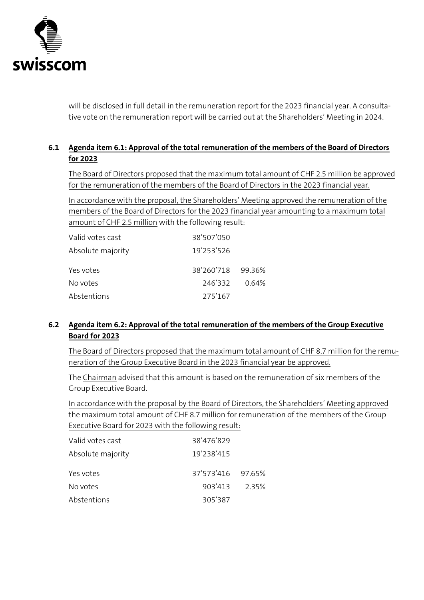

will be disclosed in full detail in the remuneration report for the 2023 financial year. A consultative vote on the remuneration report will be carried out at the Shareholders' Meeting in 2024.

# <span id="page-15-0"></span>**6.1 Agenda item 6.1: Approval of the total remuneration of the members of the Board of Directors for 2023**

The Board of Directors proposed that the maximum total amount of CHF 2.5 million be approved for the remuneration of the members of the Board of Directors in the 2023 financial year.

In accordance with the proposal, the Shareholders' Meeting approved the remuneration of the members of the Board of Directors for the 2023 financial year amounting to a maximum total amount of CHF 2.5 million with the following result:

| Valid votes cast  | 38'507'050        |       |
|-------------------|-------------------|-------|
| Absolute majority | 19'253'526        |       |
| Yes votes         | 38'260'718 99.36% |       |
| No votes          | 246'332           | 0.64% |
| Abstentions       | 275'167           |       |

# <span id="page-15-1"></span>**6.2 Agenda item 6.2: Approval of the total remuneration of the members of the Group Executive Board for 2023**

The Board of Directors proposed that the maximum total amount of CHF 8.7 million for the remuneration of the Group Executive Board in the 2023 financial year be approved.

The Chairman advised that this amount is based on the remuneration of six members of the Group Executive Board.

In accordance with the proposal by the Board of Directors, the Shareholders' Meeting approved the maximum total amount of CHF 8.7 million for remuneration of the members of the Group Executive Board for 2023 with the following result:

| Valid votes cast  | 38'476'829        |       |
|-------------------|-------------------|-------|
| Absolute majority | 19'238'415        |       |
| Yes votes         | 37'573'416 97.65% |       |
| No votes          | 903'413           | 2.35% |
| Abstentions       | 305'387           |       |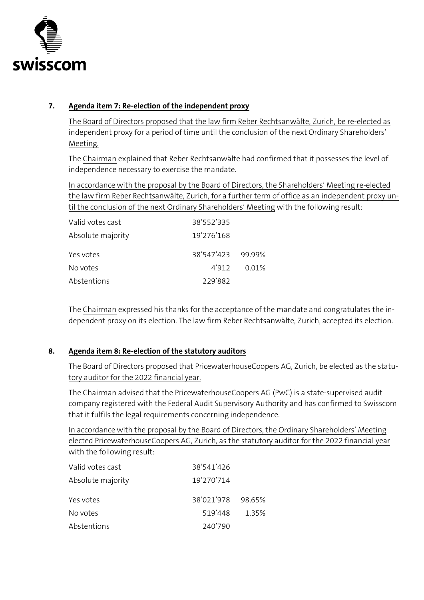

# <span id="page-16-0"></span>**7. Agenda item 7: Re-election of the independent proxy**

The Board of Directors proposed that the law firm Reber Rechtsanwälte, Zurich, be re-elected as independent proxy for a period of time until the conclusion of the next Ordinary Shareholders' Meeting.

The Chairman explained that Reber Rechtsanwälte had confirmed that it possesses the level of independence necessary to exercise the mandate.

In accordance with the proposal by the Board of Directors, the Shareholders' Meeting re-elected the law firm Reber Rechtsanwälte, Zurich, for a further term of office as an independent proxy until the conclusion of the next Ordinary Shareholders' Meeting with the following result:

| Valid votes cast  | 38'552'335        |       |
|-------------------|-------------------|-------|
| Absolute majority | 19'276'168        |       |
| Yes votes         | 38'547'423 99.99% |       |
| No votes          | 4'912             | 0.01% |
| Abstentions       | 229'882           |       |

The Chairman expressed his thanks for the acceptance of the mandate and congratulates the independent proxy on its election. The law firm Reber Rechtsanwälte, Zurich, accepted its election.

# <span id="page-16-1"></span>**8. Agenda item 8: Re-election of the statutory auditors**

The Board of Directors proposed that PricewaterhouseCoopers AG, Zurich, be elected as the statutory auditor for the 2022 financial year.

The Chairman advised that the PricewaterhouseCoopers AG (PwC) is a state-supervised audit company registered with the Federal Audit Supervisory Authority and has confirmed to Swisscom that it fulfils the legal requirements concerning independence.

In accordance with the proposal by the Board of Directors, the Ordinary Shareholders' Meeting elected PricewaterhouseCoopers AG, Zurich, as the statutory auditor for the 2022 financial year with the following result:

| Valid votes cast  | 38'541'426        |       |
|-------------------|-------------------|-------|
| Absolute majority | 19'270'714        |       |
| Yes votes         | 38'021'978 98.65% |       |
| No votes          | 519'448           | 1.35% |
| Abstentions       | 240'790           |       |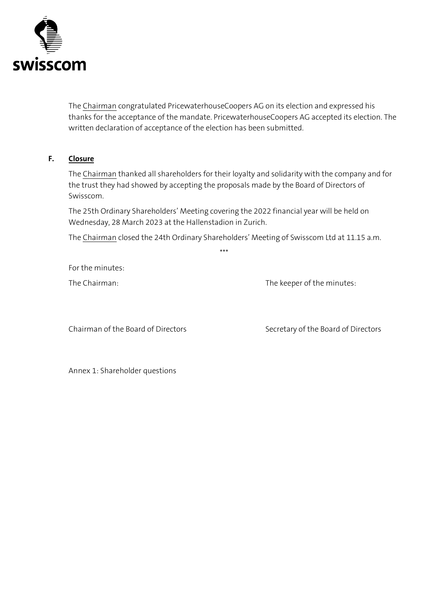

The Chairman congratulated PricewaterhouseCoopers AG on its election and expressed his thanks for the acceptance of the mandate. PricewaterhouseCoopers AG accepted its election. The written declaration of acceptance of the election has been submitted.

#### **F. Closure**

<span id="page-17-0"></span>The Chairman thanked all shareholders for their loyalty and solidarity with the company and for the trust they had showed by accepting the proposals made by the Board of Directors of Swisscom.

The 25th Ordinary Shareholders' Meeting covering the 2022 financial year will be held on Wednesday, 28 March 2023 at the Hallenstadion in Zurich.

The Chairman closed the 24th Ordinary Shareholders' Meeting of Swisscom Ltd at 11.15 a.m. \*\*\*

For the minutes:

The Chairman: The Chairman: The keeper of the minutes:

Chairman of the Board of Directors Secretary of the Board of Directors

Annex 1: Shareholder questions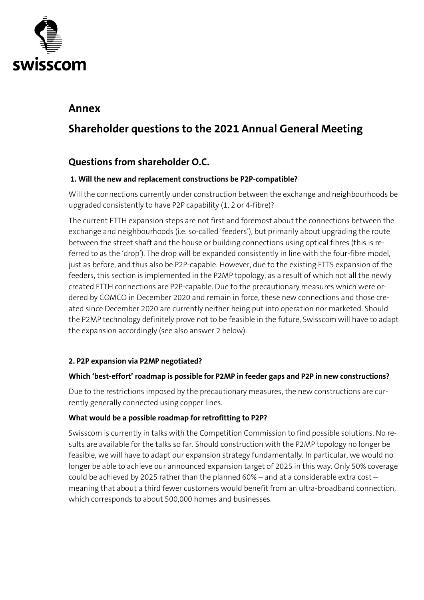

# <span id="page-18-0"></span>**Annex**

# **Shareholder questions to the 2021 Annual General Meeting**

# **Questions from shareholder O.C.**

# **1. Will the new and replacement constructions be P2P-compatible?**

Will the connections currently under construction between the exchange and neighbourhoods be upgraded consistently to have P2P capability (1, 2 or 4-fibre)?

The current FTTH expansion steps are not first and foremost about the connections between the exchange and neighbourhoods (i.e. so-called 'feeders'), but primarily about upgrading the route between the street shaft and the house or building connections using optical fibres (this is referred to as the 'drop'). The drop will be expanded consistently in line with the four-fibre model, just as before, and thus also be P2P-capable. However, due to the existing FTTS expansion of the feeders, this section is implemented in the P2MP topology, as a result of which not all the newly created FTTH connections are P2P-capable. Due to the precautionary measures which were ordered by COMCO in December 2020 and remain in force, these new connections and those created since December 2020 are currently neither being put into operation nor marketed. Should the P2MP technology definitely prove not to be feasible in the future, Swisscom will have to adapt the expansion accordingly (see also answer 2 below).

# **2. P2P expansion via P2MP negotiated?**

# **Which 'best-effort' roadmap is possible for P2MP in feeder gaps and P2P in new constructions?**

Due to the restrictions imposed by the precautionary measures, the new constructions are currently generally connected using copper lines.

# **What would be a possible roadmap for retrofitting to P2P?**

Swisscom is currently in talks with the Competition Commission to find possible solutions. No results are available for the talks so far. Should construction with the P2MP topology no longer be feasible, we will have to adapt our expansion strategy fundamentally. In particular, we would no longer be able to achieve our announced expansion target of 2025 in this way. Only 50% coverage could be achieved by 2025 rather than the planned 60% – and at a considerable extra cost – meaning that about a third fewer customers would benefit from an ultra-broadband connection, which corresponds to about 500,000 homes and businesses.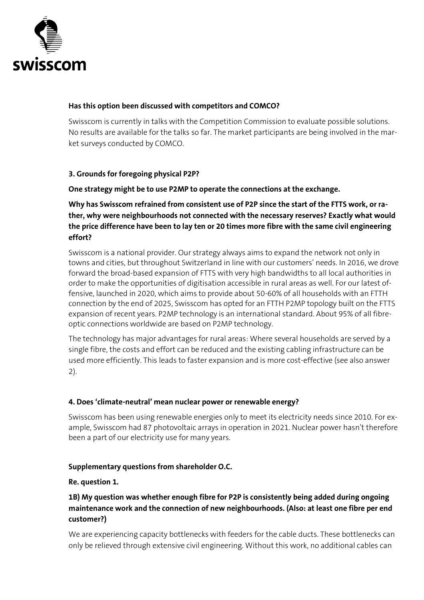

#### **Has this option been discussed with competitors and COMCO?**

Swisscom is currently in talks with the Competition Commission to evaluate possible solutions. No results are available for the talks so far. The market participants are being involved in the market surveys conducted by COMCO.

#### **3. Grounds for foregoing physical P2P?**

#### **One strategy might be to use P2MP to operate the connections at the exchange.**

**Why has Swisscom refrained from consistent use of P2P since the start of the FTTS work, or rather, why were neighbourhoods not connected with the necessary reserves? Exactly what would the price difference have been to lay ten or 20 times more fibre with the same civil engineering effort?** 

Swisscom is a national provider. Our strategy always aims to expand the network not only in towns and cities, but throughout Switzerland in line with our customers' needs. In 2016, we drove forward the broad-based expansion of FTTS with very high bandwidths to all local authorities in order to make the opportunities of digitisation accessible in rural areas as well. For our latest offensive, launched in 2020, which aims to provide about 50-60% of all households with an FTTH connection by the end of 2025, Swisscom has opted for an FTTH P2MP topology built on the FTTS expansion of recent years. P2MP technology is an international standard. About 95% of all fibreoptic connections worldwide are based on P2MP technology.

The technology has major advantages for rural areas: Where several households are served by a single fibre, the costs and effort can be reduced and the existing cabling infrastructure can be used more efficiently. This leads to faster expansion and is more cost-effective (see also answer 2).

#### **4. Does 'climate-neutral' mean nuclear power or renewable energy?**

Swisscom has been using renewable energies only to meet its electricity needs since 2010. For example, Swisscom had 87 photovoltaic arrays in operation in 2021. Nuclear power hasn't therefore been a part of our electricity use for many years.

#### **Supplementary questions from shareholder O.C.**

#### **Re. question 1.**

#### **1B) My question was whether enough fibre for P2P is consistently being added during ongoing maintenance work and the connection of new neighbourhoods. (Also: at least one fibre per end customer?)**

We are experiencing capacity bottlenecks with feeders for the cable ducts. These bottlenecks can only be relieved through extensive civil engineering. Without this work, no additional cables can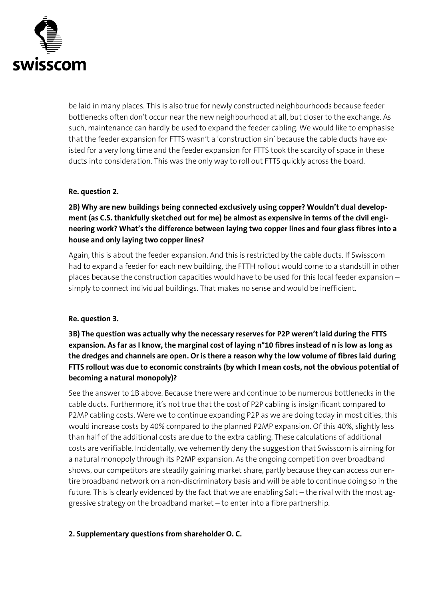

be laid in many places. This is also true for newly constructed neighbourhoods because feeder bottlenecks often don't occur near the new neighbourhood at all, but closer to the exchange. As such, maintenance can hardly be used to expand the feeder cabling. We would like to emphasise that the feeder expansion for FTTS wasn't a 'construction sin' because the cable ducts have existed for a very long time and the feeder expansion for FTTS took the scarcity of space in these ducts into consideration. This was the only way to roll out FTTS quickly across the board.

#### **Re. question 2.**

**2B) Why are new buildings being connected exclusively using copper? Wouldn't dual development (as C.S. thankfully sketched out for me) be almost as expensive in terms of the civil engineering work? What's the difference between laying two copper lines and four glass fibres into a house and only laying two copper lines?**

Again, this is about the feeder expansion. And this is restricted by the cable ducts. If Swisscom had to expand a feeder for each new building, the FTTH rollout would come to a standstill in other places because the construction capacities would have to be used for this local feeder expansion – simply to connect individual buildings. That makes no sense and would be inefficient.

#### **Re. question 3.**

**3B) The question was actually why the necessary reserves for P2P weren't laid during the FTTS expansion. As far as I know, the marginal cost of laying n\*10 fibres instead of n is low as long as the dredges and channels are open. Or is there a reason why the low volume of fibres laid during FTTS rollout was due to economic constraints (by which I mean costs, not the obvious potential of becoming a natural monopoly)?**

See the answer to 1B above. Because there were and continue to be numerous bottlenecks in the cable ducts. Furthermore, it's not true that the cost of P2P cabling is insignificant compared to P2MP cabling costs. Were we to continue expanding P2P as we are doing today in most cities, this would increase costs by 40% compared to the planned P2MP expansion. Of this 40%, slightly less than half of the additional costs are due to the extra cabling. These calculations of additional costs are verifiable. Incidentally, we vehemently deny the suggestion that Swisscom is aiming for a natural monopoly through its P2MP expansion. As the ongoing competition over broadband shows, our competitors are steadily gaining market share, partly because they can access our entire broadband network on a non-discriminatory basis and will be able to continue doing so in the future. This is clearly evidenced by the fact that we are enabling Salt – the rival with the most aggressive strategy on the broadband market – to enter into a fibre partnership.

#### **2. Supplementary questions from shareholder O. C.**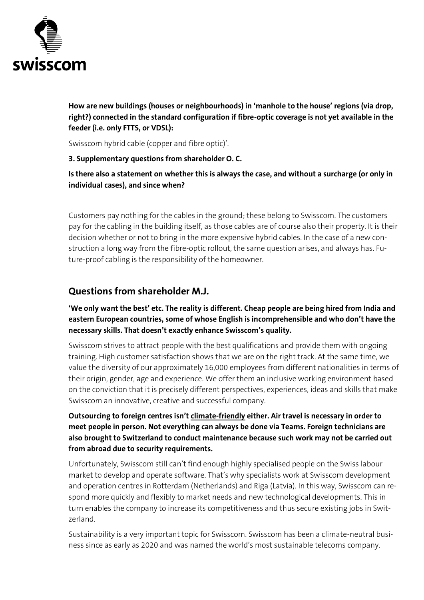

**How are new buildings (houses or neighbourhoods) in 'manhole to the house' regions (via drop, right?) connected in the standard configuration if fibre-optic coverage is not yet available in the feeder (i.e. only FTTS, or VDSL):**

Swisscom hybrid cable (copper and fibre optic)'.

#### **3. Supplementary questions from shareholder O. C.**

**Is there also a statement on whether this is always the case, and without a surcharge (or only in individual cases), and since when?**

Customers pay nothing for the cables in the ground; these belong to Swisscom. The customers pay for the cabling in the building itself, as those cables are of course also their property. It is their decision whether or not to bring in the more expensive hybrid cables. In the case of a new construction a long way from the fibre-optic rollout, the same question arises, and always has. Future-proof cabling is the responsibility of the homeowner.

# **Questions from shareholder M.J.**

**'We only want the best' etc. The reality is different. Cheap people are being hired from India and eastern European countries, some of whose English is incomprehensible and who don't have the necessary skills. That doesn't exactly enhance Swisscom's quality.**

Swisscom strives to attract people with the best qualifications and provide them with ongoing training. High customer satisfaction shows that we are on the right track. At the same time, we value the diversity of our approximately 16,000 employees from different nationalities in terms of their origin, gender, age and experience. We offer them an inclusive working environment based on the conviction that it is precisely different perspectives, experiences, ideas and skills that make Swisscom an innovative, creative and successful company.

# **Outsourcing to foreign centres isn't climate-friendly either. Air travel is necessary in order to meet people in person. Not everything can always be done via Teams. Foreign technicians are also brought to Switzerland to conduct maintenance because such work may not be carried out from abroad due to security requirements.**

Unfortunately, Swisscom still can't find enough highly specialised people on the Swiss labour market to develop and operate software. That's why specialists work at Swisscom development and operation centres in Rotterdam (Netherlands) and Riga (Latvia). In this way, Swisscom can respond more quickly and flexibly to market needs and new technological developments. This in turn enables the company to increase its competitiveness and thus secure existing jobs in Switzerland.

Sustainability is a very important topic for Swisscom. Swisscom has been a climate-neutral business since as early as 2020 and was named the world's most sustainable telecoms company.